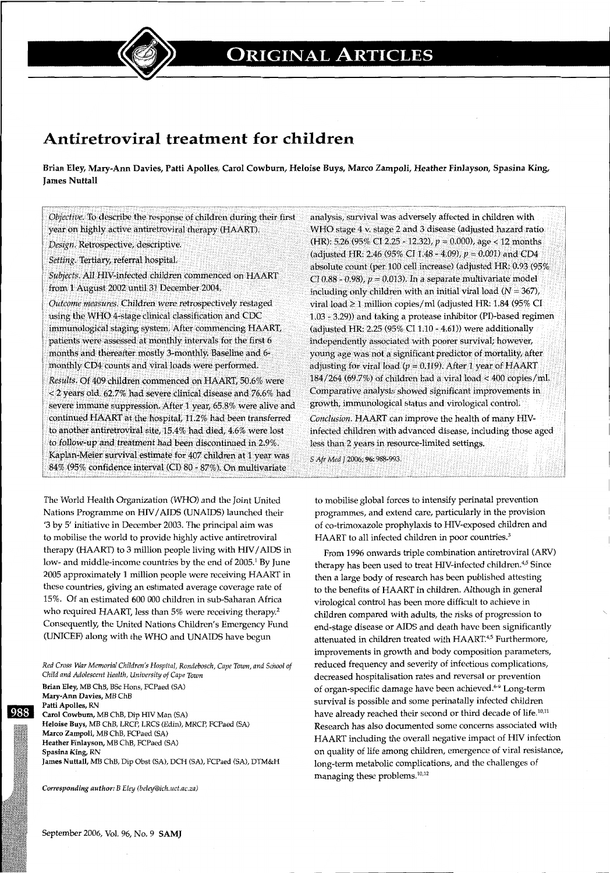

## **Antiretroviral treatment for children**

Brian Eley, Mary-Ann Davies, Patti Apolles, Carol Cowburn, Heloise Buys, Marco Zampoli, Heather Finlayson, Spasina King, James Nuttall

*Objective.* To describe the response of children during their first year on highly active antiretroviral therapy (HAART).

*Design.* Retrospective, descriptive.

*Setting.* Tertiary, referral hospital.

*Subjects.* All HIV-infected children commenced on HAART from 1 August 2002 until 31 December 2004.

*Outcome measures.* Children were retrospectively restaged using the WHO 4-stage clinical classification and CDC immunological staging system. After commencing HAART, patients were assessed at monthly intervals for the first 6 months and thereafter mostly 3-monthly. Baseline and 6 monthly CD4 counts and viral loads were performed.

*Results.* Of 409 children commenced on HAART, 50.6% were < 2 years old, 62.7% had severe clinical disease and 76.6% had severe immune suppression. After 1 year, 65.8% were alive and continued HAART at the hospital, 11.2% had been transferred to another antiretroviral site, 15.4% had died, 4.6% were lost to follow-up and treatment had been discontinued in 2.9%. Kaplan-Meier survival estimate for 407 children at 1 year was 84% (95% confidence interval (CI) 80- 87%). On multivariate

The World Health Organization (WHO) and the Joint United Nations Programme on HIV/AIDS (UNAIDS) launched their '3 by 5' initiative in December 2003. The principal aim was to mobilise the world to provide highly active antiretroviral therapy (HAART) to  $3$  million people living with HIV/AIDS in low- and middle-income countries by the end of 2005.<sup>1</sup> By June 2005 approximately 1 million people were receiving HAART in these countries, giving an estimated average coverage rate of 15%. Of an estimated 600 000 children in sub-Saharan Africa who required HAART, less than 5% were receiving therapy.<sup>2</sup> Consequently, the United Nations Children's Emergency Fund (UNICEF) along with the WHO and UNAIDS have begun

*Red Cross War Memorial Children's Hospital, Rondebosch, Cape Town, and School of Child and Adolescent Health, University of Cape Town* 

Brian Eley, MB ChB, BSc Hons, FCPaed (SA) Mary-Ann Davies, MB ChB Patti Apolles, RN ~ Carol Cowbum, MB ChB, Dip HIV Man (SA) Heloise Buys, MB ChB, LRCP, LRCS (Edin), MRCP, FCPaed (SA) Marco Zampoli, MB ChB, FCPaed (SA) Heather Finlayson, MB ChB, FCPaed (SA) Spasina King, RN James Nuttall, MB ChB, Dip Obst (SA), DCH (SA), FCPaed (SA), DTM&H

*Corresponding author: B Eley (beley@ich.uct.ac.za)* 

analysis, survival was adversely affected in children with WHO stage 4 v. stage 2 and 3 disease (adjusted hazard ratio (HR): 5.26 (95% CI 2.25- 12.32), *p* = 0.000), age < 12 months (adjusted HR: 2.46 (95% CI 1.48 - 4.09),  $p = 0.001$ ) and CD4 absolute count (per 100 cell increase) (adjusted HR: 0.93 (95% CI 0.88 - 0.98),  $p = 0.013$ ). In a separate multivariate model including only children with an initial viral load  $(N = 367)$ , viral load  $\geq$  1 million copies/ml (adjusted HR: 1.84 (95% CI 1.03- 3.29)) and taking a protease inhibitor (PI)-based regimen (adjusted HR: 2.25 (95% CI 1.10- 4.61)) were additionally independently associated with poorer survival; however, young age was not a significant predictor of mortality, after adjusting for viral load ( $p = 0.119$ ). After 1 year of HAART 184/264 (69.7%) of children had a viral load < 400 copies/mi. Comparative analysis showed significant improvements in growth, immunological status and virological control. *Conclusion.* HAART can improve the health of many HIVinfected children with advanced disease, including those aged less than 2 years in resource-limited settings.

*S Afr Med* J 2006; 96: 988-993.

to mobilise global forces to intensify perinatal prevention programmes, and extend care, particularly in the provision of co-trimoxazole prophylaxis to HIV-exposed children and HAART to all infected children in poor countries.<sup>3</sup>

From 1996 onwards triple combination antiretroviral (ARV) therapy has been used to treat HIV-infected children.<sup>4,5</sup> Since then a large body of research has been published attesting to the benefits of HAART in children. Although in general virological control has been more difficult to achieve in children compared with adults, the risks of progression to end-stage disease or AIDS and death have been significantly attenuated in children treated with HAART.<sup>4,5</sup> Furthermore, improvements in growth and body composition parameters, reduced frequency and severity of infectious complications, decreased hospitalisation rates and reversal or prevention of organ-specific damage have been achieved.<sup>6-9</sup> Long-term survival is possible and some perinatally infected children have already reached their second or third decade of life.<sup>10,11</sup> Research has also documented some concerns associated with HAART including the overall negative impact of HIV infection on quality of life among children, emergence of viral resistance, long-term metabolic complications, and the challenges of managing these problems.<sup>10,12</sup>

- ·------------------------------------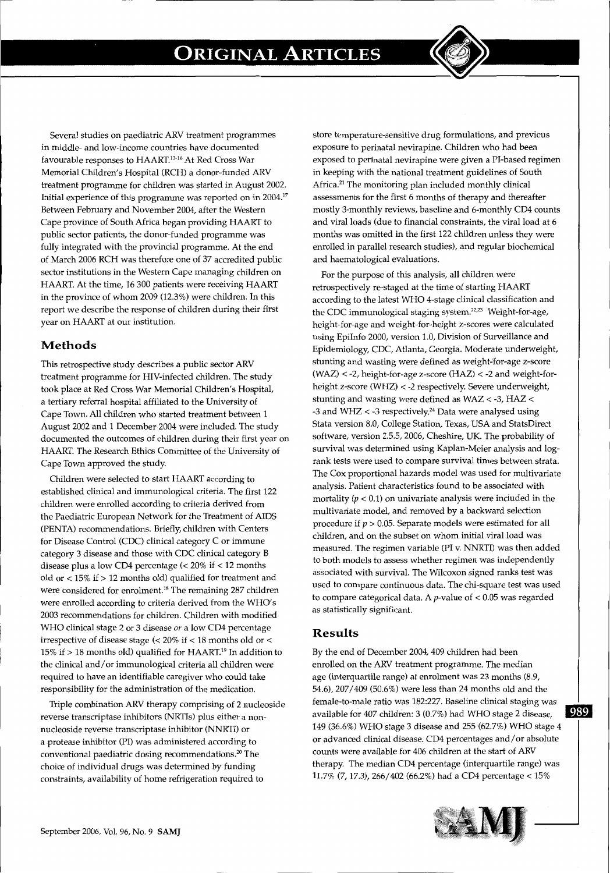

Several studies on paediatric ARV treatment programmes in middle- and low-income countries have documented favourable responses to HAART.<sup>13-16</sup> At Red Cross War Memorial Children's Hospital (RCH) a donor-funded ARV treatment programme for children was started in August 2002. Initial experience of this programme was reported on in 2004.17 Between February and November 2004, after the Western Cape province of South Africa began providing HAART to public sector patients, the donor-funded programme was fully integrated with the provincial programme. At the end of March 2006 RCH was therefore one of 37 accredited public sector institutions in the Western Cape managing children on HAART. At the time, 16 300 patients were receiving HAART in the province of whom 2009 (12.3%) were children. In this report we describe the response of children during their first year on HAART at our institution.

## **Methods**

This retrospective study describes a public sector ARV treatment programme for HIV-infected children. The study took place at Red Cross War Memorial Children's Hospital, a tertiary referral hospital affiliated to the University of Cape Town. All children who started treatment between 1 August 2002 and 1 December 2004 were included. The study documented the outcomes of children during their first year on HAART. The Research Ethics Committee of the University of Cape Town approved the study.

Children were selected to start HAART according to established clinical and immunological criteria. The first 122 children were enrolled according to criteria derived from the Paediatric European Network for the Treatment of AIDS (PENTA) recommendations. Briefly, children with Centers for Disease Control (CDC) clinical category C or immune category 3 disease and those with CDC clinical category B disease plus a low CD4 percentage (< 20% if < 12 months old or  $<15\%$  if  $>12$  months old) qualified for treatment and were considered for enrolment.<sup>18</sup> The remaining 287 children were enrolled according to criteria derived from the WHO's 2003 recommendations for children. Children with modified WHO clinical stage 2 or 3 disease *or* a low CD4 percentage irrespective of disease stage  $\langle < 20\%$  if  $< 18$  months old or  $<$ 15% if  $> 18$  months old) qualified for HAART.<sup>19</sup> In addition to the clinical and/or immunological criteria all children were required to have an identifiable caregiver who could take responsibility for the administration of the medication.

Triple combination ARV therapy comprising of 2 nucleoside reverse transcriptase inhibitors (NRTis) plus either a nonnucleoside reverse transcriptase inhibitor (NNRTI) or a protease inhibitor (PI) was administered according to conventional paediatric dosing recommendations. 20 The choice of individual drugs was determined by funding constraints, availability of home refrigeration required to

store temperature-sensitive drug formulations, and previous exposure to perinatal nevirapine. Children who had been exposed to perinatal nevirapine were given a PI-based regimen in keeping with the national treatment guidelines of South Africa.<sup>21</sup> The monitoring plan included monthly clinical assessments for the first 6 months of therapy and thereafter mostly 3-monthly reviews, baseline and 6-monthly CD4 counts and viral loads (due to financial constraints, the viral load at 6 months was omitted in the first 122 children unless they were enrolled in parallel research studies), and regular biochemical and haematological evaluations.

For the purpose of this analysis, all children were retrospectively re-staged at the time of starting HAART according to the latest WHO 4-stage clinical classification and the CDC immunological staging system.<sup>22,23</sup> Weight-for-age, height-for-age and weight-for-height z-scores were calculated using Epilnfo 2000, version 1.0, Division of Surveillance and Epidemiology, CDC, Atlanta, Georgia. Moderate underweight, stunting and wasting were defined as weight-'for-age z-score (WAZ) < -2, height-for-age z-score (HAZ) < -2 and weight-forheight z-score (WHZ) < -2 respectively. Severe underweight, stunting and wasting were defined as WAZ < -3, HAZ < -3 and WHZ  $<$  -3 respectively.<sup>24</sup> Data were analysed using Stata version 8.0, College Station, Texas, USA and StatsDirect software, version 2.5.5, 2006, Cheshire, UK. The probability of survival was determined using Kaplan-Meier analysis and logrank tests were used to compare survival times between strata. The Cox proportional hazards model was used for multivariate analysis. Patient characteristics found to be associated with mortality ( $p < 0.1$ ) on univariate analysis were included in the multivariate model, and removed by a backward selection procedure if  $p > 0.05$ . Separate models were estimated for all children, and on the subset on whom initial viral load was measured. The regimen variable (PI v. NNRTI) was then added to both models to assess whether regimen was independently associated with survival. The Wilcoxon signed ranks test was used to compare continuous data. The chi-square test was used to compare categorical data. A  $p$ -value of  $< 0.05$  was regarded as statistically significant.

### **Results**

By the end of December 2004, 409 children had been enrolled on the ARV treatment programme. The median age (interquartile range) at enrolment was 23 months (8.9, 54.6), 207/409 (50.6%) were less than 24 months old and the female-to-male ratio was 182:227. Baseline clinical staging was **a**<br>available for 407 children: 3 (0.7%) had WHO stage 2 disease, 149 (36.6%) WHO stage 3 disease and 255 (62.7%) WHO stage 4 or advanced clinical disease. CD4 percentages and/ or absolute counts were available for 406 children at the start of ARV therapy. The median CD4 percentage (interquartile range) was 11.7% (7, 17.3), 266/402 (66.2%) had a CD4 percentage< 15%

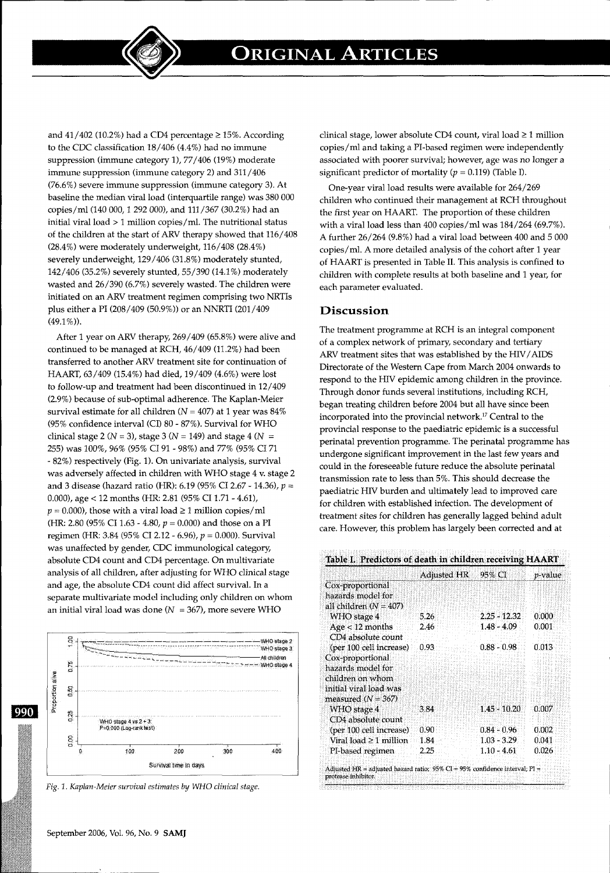**ORIGINAL ARTICLES** 

and  $41/402$  (10.2%) had a CD4 percentage  $\geq$  15%. According to the CDC classification 18/406 (4.4%) had no immune suppression (immune category 1), 77/406 (19%) moderate immune suppression (immune category 2) and 311/406 (76.6%) severe immune suppression (immune category 3). At baseline the median viral load (interquartile range) was 380 000 copies/ml (140 000, 1 292 000), and 111/367 (30.2%) had an initial viral load> 1 million copies/mi. The nutritional status of the children at the start of ARV therapy showed that 116/408 (28.4%) were moderately underweight, 116/408 (28.4%) severely underweight, 129/406 (31.8%) moderately stunted, 142/406 (35.2%) severely stunted, 55/390 (14.1 %) moderately wasted and 26/390 (6.7%) severely wasted. The children were initiated on an ARV treatment regimen comprising two NRTis plus either a PI (208/409 (50.9%)) or an NNRTI (201/409  $(49.1\%)$ .

After 1 year on ARV therapy,  $269/409$  (65.8%) were alive and continued to be managed at RCH, 46/409 (11.2%) had been transferred to another ARV treatment site for continuation of HAART, 63/409 (15.4%) had died, 19/409 (4.6%) were lost to follow-up and treatment had been discontinued in 12/409 (2.9%) because of sub-optimal adherence. The Kaplan-Meier survival estimate for all children ( $N = 407$ ) at 1 year was 84% (95% confidence interval (CI) 80- 87%). Survival for WHO clinical stage 2 ( $N = 3$ ), stage 3 ( $N = 149$ ) and stage 4 ( $N =$ 255) was 100%, 96% (95% CI 91 - 98%) and 77% (95% CI 71 - 82%) respectively (Fig. 1). On univariate analysis, survival was adversely affected in children with WHO stage 4 v. stage 2 and 3 disease (hazard ratio (HR): 6.19 (95% CI 2.67- 14.36), *p* = 0.000), age < 12 months (HR: 2.81 (95% CI 1.71 - 4.61),  $p = 0.000$ , those with a viral load  $\geq 1$  million copies/ml (HR: 2.80 (95% CI 1.63 - 4.80,  $p = 0.000$ ) and those on a PI regimen (HR: 3.84 (95% CI 2.12 - 6.96),  $p = 0.000$ ). Survival was unaffected by gender, CDC immunological category, absolute CD4 count and CD4 percentage. On multivariate analysis of all children, after adjusting for WHO clinical stage and age, the absolute CD4 count did affect survival. In a separate multivariate model including only children on whom an initial viral load was done ( $N = 367$ ), more severe WHO



*Fig.* 1. *Kaplan-Meier survival estimates* by *WHO clinical stage.* 

clinical stage, lower absolute CD4 count, viral load ≥ 1 million copies/ml and taking a PI-based regimen were independently associated with poorer survival; however, age was no longer a significant predictor of mortality ( $p = 0.119$ ) (Table I).

One-year viral load results were available for 264/269 children who continued their management at RCH throughout the first year on HAART. The proportion of these children with a viral load less than 400 copies/ml was 184/264 (69.7%). A further 26/264 (9.8%) had a viral load between 400 and 5 000 copies/mi. A more detailed analysis of the cohort after 1 year of HAART is presented in Table II. This analysis is confined to children with complete results at both baseline and 1 year, for each parameter evaluated.

#### **Discussion**

The treatment programme at RCH is an integral component of a complex network of primary, secondary and tertiary ARV treatment sites that was established by the HIV/AIDS Directorate of the Western Cape from March 2004 onwards to respond to the HIV epidemic among children in the province. Through donor funds several institutions, including RCH, began treating children before 2004 but all have since been incorporated into the provincial network.17 Central to the provincial response to the paediatric epidemic is a successful perinatal prevention programme. The perinatal programme has undergone significant improvement in the last few years and could in the foreseeable future reduce the absolute perinatal transmission rate to less than 5%. This should decrease the paediatric HIV burden and ultimately lead to improved care for children with established infection. The development of treatment sites for children has generally lagged behind adult care. However, this problem has largely been corrected and at

.<br>Mari miling dinisalar kata mahalan sahaya da shekara ta shekara ta shekara

| 5.26 | $2.25 - 12.32$ | 0.000 |
|------|----------------|-------|
| 2.46 | $1.48 - 4.09$  | 0.001 |
|      |                |       |
| 0.93 | $0.88 - 0.98$  | 0.013 |
|      |                |       |
|      |                |       |
|      |                |       |
|      |                |       |
|      |                |       |
| 3.84 | $1.45 - 10.20$ | 0.007 |
|      |                |       |
| 0.90 | $0.84 - 0.96$  | 0.002 |
| 1.84 | $1.03 - 3.29$  | 0.041 |
| 2.25 | $1.10 - 4.61$  | 0.026 |
|      |                |       |

September 2006, Vol. 96, No. 9 **SAMJ**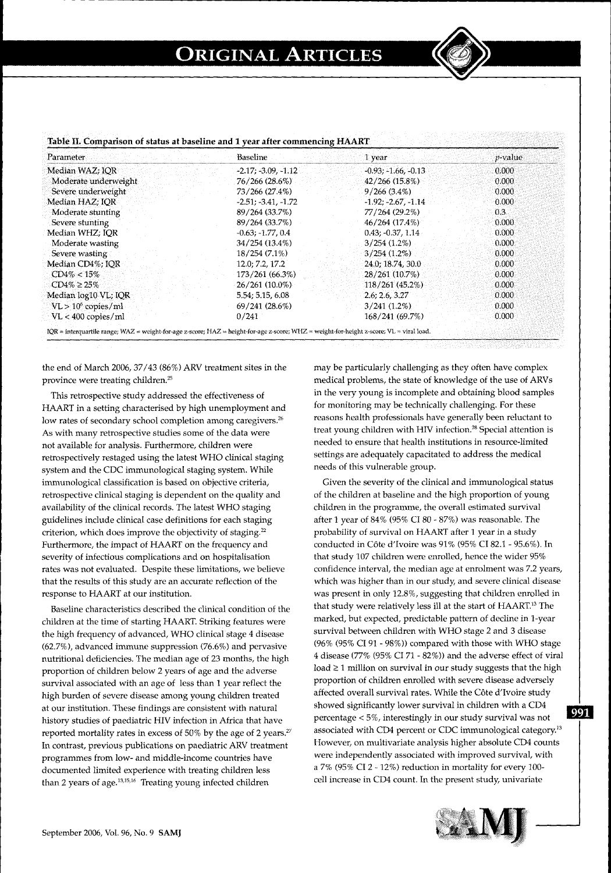---~-~~~~--------------------------------



| Parameter             | Baseline              | 1 year                | $p$ -value |
|-----------------------|-----------------------|-----------------------|------------|
| Median WAZ; IOR       | $-2.17; -3.09, -1.12$ | $-0.93; -1.66, -0.13$ | 0.000      |
| Moderate underweight  | 76/266 (28.6%)        | 42/266(15.8%)         | 0.000      |
| Severe underweight    | 73/266 (27.4%)        | $9/266(3.4\%)$        | 0.000      |
| Median HAZ; IOR       | $-2.51; -3.41, -1.72$ | $-1.92; -2.67, -1.14$ | 0.000      |
| Moderate stunting     | 89/264 (33.7%)        | 77/264 (29.2%)        | 0.3        |
| Severe stunting       | 89/264 (33.7%)        | 46/264 (17.4%)        | 0.000      |
| Median WHZ; IOR       | $-0.63: -1.77.0.4$    | $0.43: -0.37, 1.14$   | 0.000      |
| Moderate wasting      | 34/254 (13.4%)        | $3/254(1.2\%)$        | 0.000      |
| Severe wasting        | $18/254(7.1\%)$       | $3/254(1.2\%)$        | 0.000      |
| Median CD4%; IOR      | 12.0; 7.2, 17.2       | 24.0, 18.74, 30.0     | 0.000      |
| $CD4\% < 15\%$        | 173/261 (66.3%)       | 28/261 (10.7%)        | 0.000      |
| $CD4\% \ge 25\%$      | $26/261(10.0\%)$      | 118/261(45.2%)        | 0.000      |
| Median log10 VL; IQR  | 5.54; 5.15, 6.08      | 2.6; 2.6, 3.27        | 0.000      |
| $VL > 10^6$ copies/ml | 69/241 (28.6%)        | $3/241(1.2\%)$        | 0.000      |
| VL < 400 copies/ml    | 0/241                 | 168/241 (69.7%)       | 0.000      |

- -~ ------~ ----------------------------------------~------

#### **Table II. Comparison of status at baseline and 1 year after commencing HAART**

the end of March 2006,  $37/43$  (86%) ARV treatment sites in the province were treating children.<sup>25</sup>

This retrospective study addressed the effectiveness of HAART in a setting characterised by high unemployment and low rates of secondary school completion among caregivers.<sup>26</sup> As with many retrospective studies some of the data were not available for analysis. Furthermore, children were retrospectively restaged using the latest WHO clinical staging system and the CDC immunological staging system. While immunological classification is based on objective criteria, retrospective clinical staging is dependent on the quality and availability of the clinical records. The latest WHO staging guidelines include clinical case definitions for each staging criterion, which does improve the objectivity of staging.<sup>22</sup> Furthermore, the impact of HAART on the frequency and severity of infectious complications and on hospitalisation rates was not evaluated. Despite these limitations, we believe that the results of this study are an accurate reflection of the response to HAART at our institution.

Baseline characteristics described the clinical condition of the children at the time of starting HAART. Striking features were the high frequency of advanced, WHO clinical stage 4 disease (62.7%), advanced immune suppression (76.6%) and pervasive nutritional deficiencies. The median age of 23 months, the high proportion of children below 2 years of age and the adverse survival associated with an age of less than 1 year reflect the high burden of severe disease among young children treated at our institution. These findings are consistent with natural history studies of paediatric HIV infection in Africa that have reported mortality rates in excess of 50% by the age of 2 years.<sup>27</sup> In contrast, previous publications on paediatric ARV treatment programmes from low- and middle-income countries have documented limited experience with treating children less than 2 years of age. $13,15,16$  Treating young infected children

may be particularly challenging as they often have complex medical problems, the state of knowledge of the use of ARVs in the very young is incomplete and obtaining blood samples for monitoring may be technically challenging. For these reasons health professionals have generally been reluctant to treat young children with HIV infection.<sup>28</sup> Special attention is needed to ensure that health institutions in resource-limited settings are adequately capacitated to address the medical needs of this vulnerable group.

Given the severity of the clinical and immunological status of the children at baseline and the high proportion of young children in the programme, the overall estimated survival after 1 year of 84% (95% CI 80 - 87%) was reasonable. The probability of survival on HAART after 1 year in a study conducted in Cote d'Ivoire was 91% (95% CI 82.1- 95.6%). In that study 107 children were enrolled, hence the wider 95% confidence interval, the median age at enrolment was 7.2 years, which was higher than in our study, and severe clinical disease was present in only 12.8%, suggesting that children enrolled in that study were relatively less ill at the start of HAART.<sup>13</sup> The marked, but expected, predictable pattern of decline in 1-year survival between children with WHO stage 2 and 3 disease (96% (95% CI 91 - 98%)) compared with those with WHO stage 4 disease (77% (95% CI 71 - 82%)) and the adverse effect of viral  $load \geq 1$  million on survival in our study suggests that the high proportion of children enrolled with severe disease adversely affected overall survival rates. While the Côte d'Ivoire study showed significantly lower survival in children with a CD4 percentage < 5%, interestingly in our study survival was not associated with CD4 percent or CDC immunological category.<sup>13</sup> However, on multivariate analysis higher absolute CD4 counts were independently associated with improved survival, with a 7% (95% CI 2- 12%) reduction in mortality for every 100 cell increase in CD4 count. In the present study, univariate



991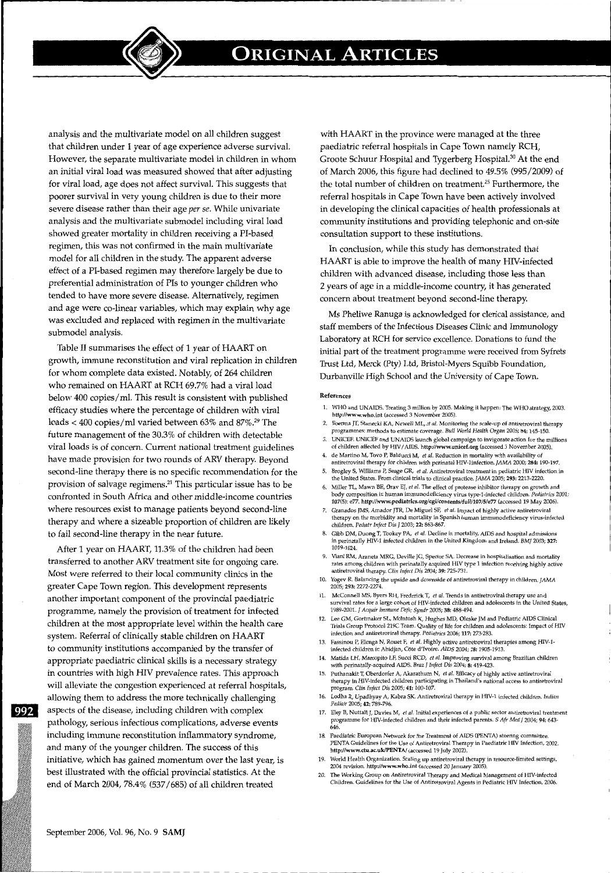**ORIGINAL ARTICLES** 

analysis and the multivariate model on all children suggest that children under 1 year of age experience adverse survival. However, the separate multivariate model in children in whom an initial viral load was measured showed that after adjusting for viral load, age does not affect survival. This suggests that poorer survival in very young children is due to their more severe disease rather than their age *per se.* While univariate analysis and the multivariate submodel including viral load showed greater mortality in children receiving a PI-based regimen, this was not confirmed in the main multivariate model for all children in the study. The apparent adverse effect of a PI-based regimen may therefore largely be due to preferential administration of Pis to younger children who tended to have more severe disease. Alternatively, regimen and age were co-linear variables, which may explain why age was excluded and replaced with regimen in the multivariate submodel analysis.

Table II summarises the effect of 1 year of HAART on growth, immune reconstitution and viral replication in children for whom complete data existed. Notably, of 264 children who remained on HAART at RCH 69.7% had a viral load below 400 copies/mi. This result is consistent with published efficacy studies where the percentage of children with viral loads < 400 copies/ml varied between  $63\%$  and  $87\%$ .<sup>29</sup> The future management of the 30.3% of children with detectable viral loads is of concern. Current national treatment guidelines have made provision for two rounds of ARV therapy. Beyond second-line therapy there is no specific recommendation for the provision of salvage regimens.21 This particular issue has to be confronted in South Africa and other middle-income countries where resources exist to manage patients beyond second-line therapy and where a sizeable proportion of children are likely to fail second-line therapy in the near future.

After 1 year on HAART, 11.3% of the children had been transferred to another ARV treatment site for ongoing care. Most were referred to their local community clinics in the greater Cape Town region. This development represents another important component of the provincial paediatric programme, namely the provision of treatment for infected children at the most appropriate level within the health care system. Referral of clinically stable children on HAART to community institutions accompanied by the transfer of appropriate paediatric clinical skills is a necessary strategy in countries with high HIV prevalence rates. This approach will alleviate the congestion experienced at referral hospitals, allowing them to address the more technically challenging **992** aspects of the disease, including children with complex pathology, serious infectious complications, adverse events including immune reconstitution inflammatory syndrome, and many of the younger children. The success of this initiative, which has gained momentum over the last year, is best illustrated with the official provincial statistics. At the end of March 2004, 78.4% (537 /685) of all children treated

with HAART in the province were managed at the three paediatric referral hospitals in Cape Town namely RCH, Groote Schuur Hospital and Tygerberg HospitaJ.3° At the end of March 2006, this figure had declined to 49.5% (995/2009) of the total number of children on treatment.<sup>25</sup> Furthermore, the referral hospitals in Cape Town have been actively involved in developing the clinical capacities of health professionals at community institutions and providing telephonic and on-site consultation support to these institutions.

In conclusion, while this study has demonstrated that HAART is able to improve the health of many HIV-infected children with advanced disease, including those less than 2 years of age in a middle-income country, it has generated concern about treatment beyond second-line therapy.

Ms Pheliwe Ranuga is acknowledged for clerical assistance, and staff members of the Infectious Diseases Clinic and Immunology Laboratory at RCH for service excellence. Donations to fund the initial part of the treatment programme were received from Syfrets Trust Ltd, Merck (Pty) Ltd, Bristol-Myers Squibb Foundation, Durbanville High School and the University of Cape Town.

#### **References**

- 1. WHO and UN AIDS. Treating 3 million by 2005. Making it happen: The WHO strategy, 2003. http://www.who.int (accessed 3 November 2005).
- 2. Boerma JT, Stanecki KA, NeweU ML, *et* al. Monitoring the scale-up of antiretroviral therapy programmes: methods to estimate coverage. *Bull World Health Organ* 2006; 84: 145-150.
- 3. UNICEF. UNICEF and UNAIDS launch global campaign to invigorate action for the millions of children affected by HIV/AIDS. http://www.unicef.org (accessed 3 November 2005). 4. de Martino M, Tovo P, Balducci M, et *al.* Reduction in mortality with availability of
- antiretroviral therapy for children with perinatal HIV-linfection. JAMA 2000; 284: 190-197. 5. Brogley S, Williams P, Seage GR, *et aL* Antiretroviral treatment in pediatric HIV infection in
- the United States. From clinical trials to clinical practice. ]AMA 2005; 293: 2213-2220.
- 6. Miller TL, Mawn BE, Orav EJ, *et al.* The effect of protease inhibitor therapy on growth and<br>body composition in human immunodeficiency virus type-1-infected children. Pediatrics 2001;<br>107(5): e77. http://www.pediatrics
- Granados JMS, Amador JTR, De Miguel SF, et al. Impact of highly active antiretroviral therapy on the morbidity and mortality in Spanish human immunodeficiency virus-infected children. *Pediatr Infect* Dis J 2003; 22: 863-867.
- 8. Gibb DM, Duong T, Tookey PA, *et al.* Decline in mortality, AIDS and hospital admissions in perinataHy HIV-1 infected children in the United Kingdom and Ireland. *BMJ* 2003; 327: 1019-1024.
- Viani RM, Araneta MRG, Deville JG, Spector SA. Decrease in hospitalisation and mortality rates among children with perinatally acquired HIV type 1 infection receiving highly active antiretroviral therapy. *Clin Infect Dis* 2004; 39: 725-731.
- Yogev R. Balancing the upside and downside of antiretroviral therapy in children. JAMA 2005; 293: 2272-2274.
- 11. McConnell MS, Byers RH, Frederick T, et *al.* Trends in antiretroviral therapy use and survival rates for a large cohort of HIV-infected children and adolescents in the United States, 1989-2001. J *Acquir Immune Defic Syndr* 2005; 38:488-494.
- 12. Lee GM, Gortmaker SL, McIntosh K, Hughes MD, Oleske JM and Pediatric AIDS Clinical Trials Group Protocol 219C Team. Quality of life for children and adolescents: Impact of HIV infection and antiretroviral therapy. *Pediatrics* 2006; 117: 273-283.
- 13. Fassinou P, Elenga N, Rouet F, *et al.* Highly active antiretroviral therapies among HIV-1 infected children in Abidjan, C6te d'Ivoire. *AIDS* 2004; *18:* 1905-1913.
- 14. Matida LH, Marcopito LF, Succi RCD, *et al.* Improving survival among Brazilian children with perinatally-acquired AIDS. *Braz* I *Infect Dis* 2004; 8:419-423.
- 15. Puthanakit T, Oberdorfer A, Akarathum N, *et al.* Efficacy of highly active antiretroviral therapy in HIV-infected children participating in Thailand's national access to antiretroviral program. Clin *Infect* Dis 2005; 41: 100-107.
- 16. Lodha R, Upadhyay A, Kabra SK. Antiretrovira1 therapy in HIV-1 infected children. *Indian Ped1atr* 2005; 42: 789-796.
- 17. Eley B, Nuttall J, Davies M, *et al.* Initial experiences of a public sector antiretroviral treatment programme for HIV-infected children and their infected parents. *S Afr Med I* 2004; 94: 643-  $646$
- 18. Paediatric European Network for the Treatment of AIDS (PENTA) steering committee. PENTA Guidelines for the Use of Antiretroviral Therapy in Paediatric HlV Infection, 2002. http://www.ctu.ac.uk/PENTA/ (accessed 19 July 2002)
- 19. World Health Organization. Scaling up antiretroviral therapy in resource-limited settings,<br>2004 revision. http://www.who.int (accessed 20 January 2005).
- 20. The Working Group on Antiretroviral Therapy and Medical Management of HIV-infected Children. Guidelines for the Use of Antiretroviral Agents in Pediatric HIV Infection, 2006.